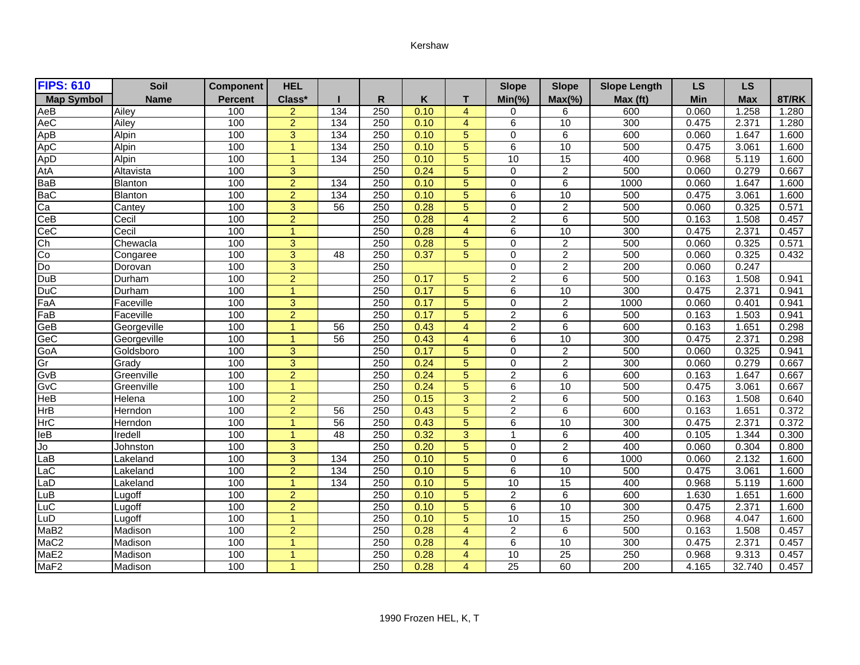## Kershaw

| <b>FIPS: 610</b>  | Soil           | <b>Component</b> | <b>HEL</b>           |                 |                  |      |                | <b>Slope</b>    | <b>Slope</b>    | <b>Slope Length</b> | <b>LS</b> | <b>LS</b>  |       |
|-------------------|----------------|------------------|----------------------|-----------------|------------------|------|----------------|-----------------|-----------------|---------------------|-----------|------------|-------|
| <b>Map Symbol</b> | <b>Name</b>    | <b>Percent</b>   | Class*               |                 | R                | Κ    | т              | $Min(\% )$      | $Max(\% )$      | Max (ft)            | Min       | <b>Max</b> | 8T/RK |
| AeB               | Ailey          | 100              | 2                    | 134             | 250              | 0.10 | $\overline{4}$ | $\Omega$        | 6               | 600                 | 0.060     | 1.258      | 1.280 |
| AeC               | Ailey          | 100              | $\overline{2}$       | 134             | 250              | 0.10 | $\overline{4}$ | $\overline{6}$  | 10              | 300                 | 0.475     | 2.371      | 1.280 |
| ApB               | Alpin          | 100              | 3                    | 134             | 250              | 0.10 | 5              | $\Omega$        | 6               | 600                 | 0.060     | 1.647      | 1.600 |
| ApC               | Alpin          | 100              | $\overline{1}$       | 134             | 250              | 0.10 | 5              | 6               | 10              | 500                 | 0.475     | 3.061      | 1.600 |
|                   | Alpin          | 100              | $\blacktriangleleft$ | 134             | 250              | 0.10 | 5              | 10              | $\overline{15}$ | 400                 | 0.968     | 5.119      | 1.600 |
| ApD<br>AtA        | Altavista      | 100              | $\overline{3}$       |                 | 250              | 0.24 | 5              | $\Omega$        | $\overline{2}$  | 500                 | 0.060     | 0.279      | 0.667 |
| BaB               | Blanton        | 100              | $\overline{2}$       | 134             | 250              | 0.10 | 5              | $\Omega$        | 6               | 1000                | 0.060     | 1.647      | 1.600 |
| <b>BaC</b>        | <b>Blanton</b> | 100              | $\overline{2}$       | 134             | 250              | 0.10 | 5              | 6               | 10              | 500                 | 0.475     | 3.061      | 1.600 |
| Ca                | Cantey         | 100              | $\overline{3}$       | 56              | 250              | 0.28 | 5              | 0               | $\overline{2}$  | 500                 | 0.060     | 0.325      | 0.571 |
| CeB               | Cecil          | 100              | $\overline{2}$       |                 | 250              | 0.28 | 4              | $\overline{2}$  | 6               | 500                 | 0.163     | 1.508      | 0.457 |
| CeC               | Cecil          | 100              | $\overline{1}$       |                 | 250              | 0.28 | $\overline{4}$ | 6               | 10              | 300                 | 0.475     | 2.371      | 0.457 |
| Ch                | Chewacla       | 100              | $\overline{3}$       |                 | 250              | 0.28 | 5              | $\Omega$        | $\overline{2}$  | 500                 | 0.060     | 0.325      | 0.571 |
| Co                | Congaree       | 100              | $\overline{3}$       | $\overline{48}$ | 250              | 0.37 | 5              | $\Omega$        | $\overline{2}$  | 500                 | 0.060     | 0.325      | 0.432 |
| Do                | Dorovan        | 100              | $\overline{3}$       |                 | 250              |      |                | $\Omega$        | $\overline{2}$  | 200                 | 0.060     | 0.247      |       |
| DuB               | Durham         | 100              | $\overline{2}$       |                 | 250              | 0.17 | 5              | $\overline{2}$  | 6               | 500                 | 0.163     | 1.508      | 0.941 |
| <b>DuC</b>        | Durham         | 100              | $\overline{1}$       |                 | 250              | 0.17 | 5              | 6               | 10              | 300                 | 0.475     | 2.371      | 0.941 |
| FaA               | Faceville      | 100              | $\overline{3}$       |                 | 250              | 0.17 | $\overline{5}$ | $\mathbf 0$     | $\overline{2}$  | 1000                | 0.060     | 0.401      | 0.941 |
| FaB               | Faceville      | 100              | $\overline{2}$       |                 | 250              | 0.17 | 5              | $\overline{2}$  | $\overline{6}$  | 500                 | 0.163     | 1.503      | 0.941 |
| GeB               | Georgeville    | 100              | $\overline{1}$       | $\overline{56}$ | 250              | 0.43 | $\overline{4}$ | $\overline{2}$  | 6               | 600                 | 0.163     | 1.651      | 0.298 |
| GeC               | Georgeville    | 100              | $\overline{1}$       | 56              | 250              | 0.43 | $\overline{4}$ | 6               | 10              | 300                 | 0.475     | 2.371      | 0.298 |
| GoA               | Goldsboro      | 100              | 3                    |                 | 250              | 0.17 | 5              | $\Omega$        | $\overline{2}$  | 500                 | 0.060     | 0.325      | 0.941 |
| Gr                | Grady          | 100              | $\overline{3}$       |                 | 250              | 0.24 | $\overline{5}$ | $\Omega$        | $\overline{2}$  | 300                 | 0.060     | 0.279      | 0.667 |
| GvB               | Greenville     | 100              | $\overline{2}$       |                 | 250              | 0.24 | 5              | $\overline{2}$  | $\overline{6}$  | 600                 | 0.163     | 1.647      | 0.667 |
| GvC               | Greenville     | 100              | $\overline{1}$       |                 | 250              | 0.24 | 5              | 6               | 10              | 500                 | 0.475     | 3.061      | 0.667 |
| HeB               | Helena         | 100              | $\overline{2}$       |                 | 250              | 0.15 | 3              | $\overline{2}$  | 6               | 500                 | 0.163     | 1.508      | 0.640 |
| HrB               | Herndon        | 100              | $\overline{2}$       | 56              | 250              | 0.43 | 5              | 2               | 6               | 600                 | 0.163     | 1.651      | 0.372 |
| <b>HrC</b>        | Herndon        | 100              | $\overline{1}$       | 56              | 250              | 0.43 | 5              | 6               | 10              | 300                 | 0.475     | 2.371      | 0.372 |
| leB               | Iredell        | 100              | $\overline{1}$       | 48              | 250              | 0.32 | 3              | 1               | 6               | 400                 | 0.105     | 1.344      | 0.300 |
| Jo                | Johnston       | 100              | $\overline{3}$       |                 | 250              | 0.20 | 5              | $\Omega$        | $\overline{2}$  | 400                 | 0.060     | 0.304      | 0.800 |
| LaB               | Lakeland       | 100              | $\overline{3}$       | 134             | 250              | 0.10 | 5              | 0               | 6               | 1000                | 0.060     | 2.132      | 1.600 |
| LaC               | Lakeland       | 100              | $\overline{2}$       | 134             | 250              | 0.10 | 5              | 6               | $\overline{10}$ | 500                 | 0.475     | 3.061      | 1.600 |
| LaD               | Lakeland       | 100              | $\overline{1}$       | 134             | 250              | 0.10 | 5              | 10              | $\overline{15}$ | 400                 | 0.968     | 5.119      | 1.600 |
| LuB               | Lugoff         | 100              | $\overline{2}$       |                 | $\overline{250}$ | 0.10 | 5              | $\overline{2}$  | 6               | 600                 | 1.630     | 1.651      | 1.600 |
| LuC               | Lugoff         | 100              | $\overline{2}$       |                 | 250              | 0.10 | 5              | 6               | 10              | 300                 | 0.475     | 2.371      | 1.600 |
| LuD               | Lugoff         | 100              | $\overline{1}$       |                 | $\overline{250}$ | 0.10 | 5              | 10              | $\overline{15}$ | 250                 | 0.968     | 4.047      | 1.600 |
| MaB <sub>2</sub>  | Madison        | 100              | $\overline{2}$       |                 | 250              | 0.28 | $\overline{4}$ | $\overline{2}$  | 6               | 500                 | 0.163     | 1.508      | 0.457 |
| MaC <sub>2</sub>  | Madison        | 100              | $\overline{1}$       |                 | 250              | 0.28 | $\overline{4}$ | 6               | 10              | 300                 | 0.475     | 2.371      | 0.457 |
| MaE2              | Madison        | 100              | $\overline{1}$       |                 | 250              | 0.28 | $\overline{4}$ | 10              | $\overline{25}$ | 250                 | 0.968     | 9.313      | 0.457 |
| MaF <sub>2</sub>  | Madison        | 100              | $\overline{1}$       |                 | 250              | 0.28 | $\overline{A}$ | $\overline{25}$ | 60              | 200                 | 4.165     | 32.740     | 0.457 |